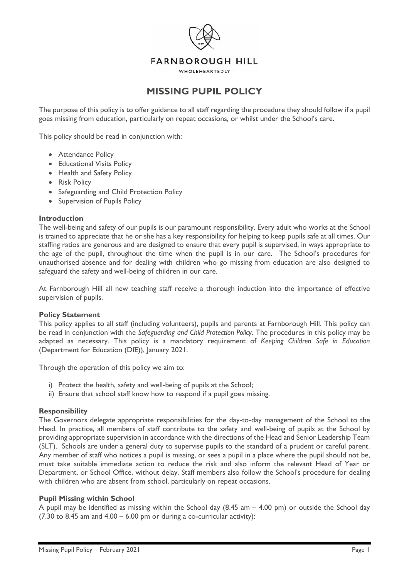

WHOLEHEARTEDLY

# **MISSING PUPIL POLICY**

The purpose of this policy is to offer guidance to all staff regarding the procedure they should follow if a pupil goes missing from education, particularly on repeat occasions, or whilst under the School's care.

This policy should be read in conjunction with:

- Attendance Policy
- Educational Visits Policy
- Health and Safety Policy
- Risk Policy
- Safeguarding and Child Protection Policy
- Supervision of Pupils Policy

## **Introduction**

The well-being and safety of our pupils is our paramount responsibility. Every adult who works at the School is trained to appreciate that he or she has a key responsibility for helping to keep pupils safe at all times. Our staffing ratios are generous and are designed to ensure that every pupil is supervised, in ways appropriate to the age of the pupil, throughout the time when the pupil is in our care. The School's procedures for unauthorised absence and for dealing with children who go missing from education are also designed to safeguard the safety and well-being of children in our care.

At Farnborough Hill all new teaching staff receive a thorough induction into the importance of effective supervision of pupils.

## **Policy Statement**

This policy applies to all staff (including volunteers), pupils and parents at Farnborough Hill. This policy can be read in conjunction with the *Safeguarding and Child Protection Policy*. The procedures in this policy may be adapted as necessary. This policy is a mandatory requirement of *Keeping Children Safe in Education*  (Department for Education (DfE)), January 2021.

Through the operation of this policy we aim to:

- i) Protect the health, safety and well-being of pupils at the School;
- ii) Ensure that school staff know how to respond if a pupil goes missing.

## **Responsibility**

The Governors delegate appropriate responsibilities for the day-to-day management of the School to the Head. In practice, all members of staff contribute to the safety and well-being of pupils at the School by providing appropriate supervision in accordance with the directions of the Head and Senior Leadership Team (SLT). Schools are under a general duty to supervise pupils to the standard of a prudent or careful parent. Any member of staff who notices a pupil is missing, or sees a pupil in a place where the pupil should not be, must take suitable immediate action to reduce the risk and also inform the relevant Head of Year or Department, or School Office, without delay. Staff members also follow the School's procedure for dealing with children who are absent from school, particularly on repeat occasions.

## **Pupil Missing within School**

A pupil may be identified as missing within the School day  $(8.45 \text{ am} - 4.00 \text{ pm})$  or outside the School day  $(7.30 \text{ to } 8.45 \text{ am and } 4.00 - 6.00 \text{ pm or during a co-curricular activity})$ :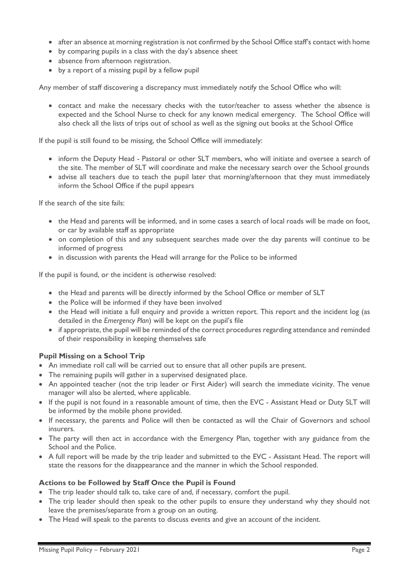- after an absence at morning registration is not confirmed by the School Office staff's contact with home
- by comparing pupils in a class with the day's absence sheet
- absence from afternoon registration.
- by a report of a missing pupil by a fellow pupil

Any member of staff discovering a discrepancy must immediately notify the School Office who will:

• contact and make the necessary checks with the tutor/teacher to assess whether the absence is expected and the School Nurse to check for any known medical emergency. The School Office will also check all the lists of trips out of school as well as the signing out books at the School Office

If the pupil is still found to be missing, the School Office will immediately:

- inform the Deputy Head Pastoral or other SLT members, who will initiate and oversee a search of the site. The member of SLT will coordinate and make the necessary search over the School grounds
- advise all teachers due to teach the pupil later that morning/afternoon that they must immediately inform the School Office if the pupil appears

If the search of the site fails:

- the Head and parents will be informed, and in some cases a search of local roads will be made on foot, or car by available staff as appropriate
- on completion of this and any subsequent searches made over the day parents will continue to be informed of progress
- in discussion with parents the Head will arrange for the Police to be informed

If the pupil is found, or the incident is otherwise resolved:

- the Head and parents will be directly informed by the School Office or member of SLT
- the Police will be informed if they have been involved
- the Head will initiate a full enquiry and provide a written report. This report and the incident log (as detailed in the *Emergency Plan*) will be kept on the pupil's file
- if appropriate, the pupil will be reminded of the correct procedures regarding attendance and reminded of their responsibility in keeping themselves safe

## **Pupil Missing on a School Trip**

- An immediate roll call will be carried out to ensure that all other pupils are present.
- The remaining pupils will gather in a supervised designated place.
- An appointed teacher (not the trip leader or First Aider) will search the immediate vicinity. The venue manager will also be alerted, where applicable.
- If the pupil is not found in a reasonable amount of time, then the EVC Assistant Head or Duty SLT will be informed by the mobile phone provided.
- If necessary, the parents and Police will then be contacted as will the Chair of Governors and school insurers.
- The party will then act in accordance with the Emergency Plan, together with any guidance from the School and the Police.
- A full report will be made by the trip leader and submitted to the EVC Assistant Head. The report will state the reasons for the disappearance and the manner in which the School responded.

## **Actions to be Followed by Staff Once the Pupil is Found**

- The trip leader should talk to, take care of and, if necessary, comfort the pupil.
- The trip leader should then speak to the other pupils to ensure they understand why they should not leave the premises/separate from a group on an outing.
- The Head will speak to the parents to discuss events and give an account of the incident.